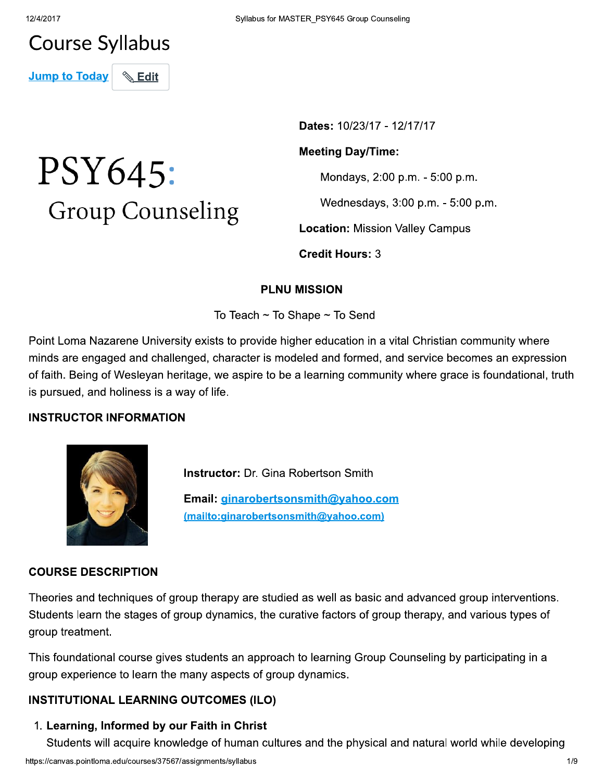# **Course Syllabus**

**Jump to Today**  $\mathbb{\mathbb{S}}$  Edit

# PSY645: **Group Counseling**

Syllabus for MASTER\_PSY645 Group Counseling

Dates: 10/23/17 - 12/17/17

#### **Meeting Day/Time:**

Mondays, 2:00 p.m. - 5:00 p.m.

Wednesdays, 3:00 p.m. - 5:00 p.m.

**Location: Mission Valley Campus** 

**Credit Hours: 3** 

#### **PLNU MISSION**

To Teach  $\sim$  To Shape  $\sim$  To Send

Point Loma Nazarene University exists to provide higher education in a vital Christian community where minds are engaged and challenged, character is modeled and formed, and service becomes an expression of faith. Being of Wesleyan heritage, we aspire to be a learning community where grace is foundational, truth is pursued, and holiness is a way of life.

#### **INSTRUCTOR INFORMATION**



**Instructor: Dr. Gina Robertson Smith** 

Email: ginarobertsonsmith@yahoo.com (mailto:ginarobertsonsmith@yahoo.com)

#### **COURSE DESCRIPTION**

Theories and techniques of group therapy are studied as well as basic and advanced group interventions. Students learn the stages of group dynamics, the curative factors of group therapy, and various types of group treatment.

This foundational course gives students an approach to learning Group Counseling by participating in a group experience to learn the many aspects of group dynamics.

# **INSTITUTIONAL LEARNING OUTCOMES (ILO)**

#### 1. Learning, Informed by our Faith in Christ

Students will acquire knowledge of human cultures and the physical and natural world while developing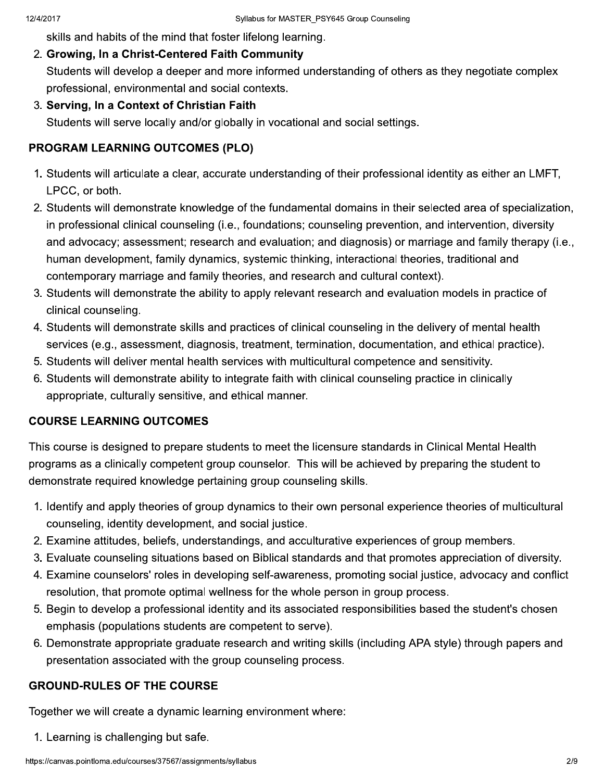skills and habits of the mind that foster lifelong learning.

#### 2. Growing, In a Christ-Centered Faith Community

Students will develop a deeper and more informed understanding of others as they negotiate complex professional, environmental and social contexts.

3. Serving, In a Context of Christian Faith Students will serve locally and/or globally in vocational and social settings.

# **PROGRAM LEARNING OUTCOMES (PLO)**

- 1. Students will articulate a clear, accurate understanding of their professional identity as either an LMFT, LPCC, or both.
- 2. Students will demonstrate knowledge of the fundamental domains in their selected area of specialization, in professional clinical counseling (i.e., foundations; counseling prevention, and intervention, diversity and advocacy; assessment; research and evaluation; and diagnosis) or marriage and family therapy (i.e., human development, family dynamics, systemic thinking, interactional theories, traditional and contemporary marriage and family theories, and research and cultural context).
- 3. Students will demonstrate the ability to apply relevant research and evaluation models in practice of clinical counseling.
- 4. Students will demonstrate skills and practices of clinical counseling in the delivery of mental health services (e.g., assessment, diagnosis, treatment, termination, documentation, and ethical practice).
- 5. Students will deliver mental health services with multicultural competence and sensitivity.
- 6. Students will demonstrate ability to integrate faith with clinical counseling practice in clinically appropriate, culturally sensitive, and ethical manner.

# **COURSE LEARNING OUTCOMES**

This course is designed to prepare students to meet the licensure standards in Clinical Mental Health programs as a clinically competent group counselor. This will be achieved by preparing the student to demonstrate required knowledge pertaining group counseling skills.

- 1. Identify and apply theories of group dynamics to their own personal experience theories of multicultural counseling, identity development, and social justice.
- 2. Examine attitudes, beliefs, understandings, and acculturative experiences of group members.
- 3. Evaluate counseling situations based on Biblical standards and that promotes appreciation of diversity.
- 4. Examine counselors' roles in developing self-awareness, promoting social justice, advocacy and conflict resolution, that promote optimal wellness for the whole person in group process.
- 5. Begin to develop a professional identity and its associated responsibilities based the student's chosen emphasis (populations students are competent to serve).
- 6. Demonstrate appropriate graduate research and writing skills (including APA style) through papers and presentation associated with the group counseling process.

# **GROUND-RULES OF THE COURSE**

Together we will create a dynamic learning environment where:

1. Learning is challenging but safe.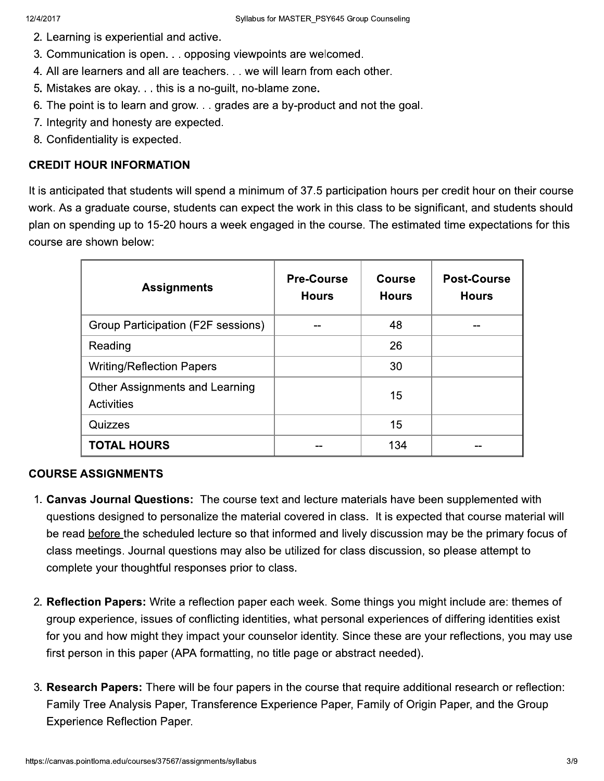- 2. Learning is experiential and active.
- 3. Communication is open. . . opposing viewpoints are welcomed.
- 4. All are learners and all are teachers. . . we will learn from each other.
- 5. Mistakes are okay. . . this is a no-quilt, no-blame zone.
- 6. The point is to learn and grow. . . grades are a by-product and not the goal.
- 7. Integrity and honesty are expected.
- 8. Confidentiality is expected.

#### **CREDIT HOUR INFORMATION**

It is anticipated that students will spend a minimum of 37.5 participation hours per credit hour on their course work. As a graduate course, students can expect the work in this class to be significant, and students should plan on spending up to 15-20 hours a week engaged in the course. The estimated time expectations for this course are shown below:

| <b>Assignments</b>                                  | <b>Pre-Course</b><br><b>Hours</b> | <b>Course</b><br><b>Hours</b> | <b>Post-Course</b><br><b>Hours</b> |
|-----------------------------------------------------|-----------------------------------|-------------------------------|------------------------------------|
| Group Participation (F2F sessions)                  |                                   | 48                            |                                    |
| Reading                                             |                                   | 26                            |                                    |
| <b>Writing/Reflection Papers</b>                    |                                   | 30                            |                                    |
| Other Assignments and Learning<br><b>Activities</b> |                                   | 15                            |                                    |
| Quizzes                                             |                                   | 15                            |                                    |
| <b>TOTAL HOURS</b>                                  |                                   | 134                           |                                    |

#### **COURSE ASSIGNMENTS**

- 1. Canvas Journal Questions: The course text and lecture materials have been supplemented with questions designed to personalize the material covered in class. It is expected that course material will be read before the scheduled lecture so that informed and lively discussion may be the primary focus of class meetings. Journal questions may also be utilized for class discussion, so please attempt to complete your thoughtful responses prior to class.
- 2. Reflection Papers: Write a reflection paper each week. Some things you might include are: themes of group experience, issues of conflicting identities, what personal experiences of differing identities exist for you and how might they impact your counselor identity. Since these are your reflections, you may use first person in this paper (APA formatting, no title page or abstract needed).
- 3. Research Papers: There will be four papers in the course that require additional research or reflection: Family Tree Analysis Paper, Transference Experience Paper, Family of Origin Paper, and the Group **Experience Reflection Paper.**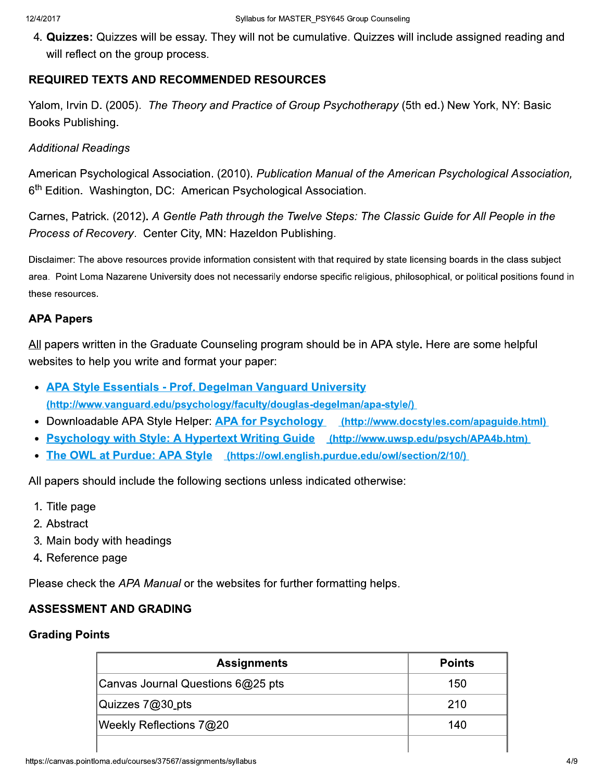4. Quizzes: Quizzes will be essay. They will not be cumulative. Quizzes will include assigned reading and will reflect on the group process.

#### **REQUIRED TEXTS AND RECOMMENDED RESOURCES**

Yalom, Irvin D. (2005). The Theory and Practice of Group Psychotherapy (5th ed.) New York, NY: Basic Books Publishing.

#### **Additional Readings**

American Psychological Association. (2010). Publication Manual of the American Psychological Association, 6<sup>th</sup> Edition. Washington, DC: American Psychological Association.

Carnes, Patrick. (2012). A Gentle Path through the Twelve Steps: The Classic Guide for All People in the Process of Recovery. Center City, MN: Hazeldon Publishing.

Disclaimer: The above resources provide information consistent with that required by state licensing boards in the class subject area. Point Loma Nazarene University does not necessarily endorse specific religious, philosophical, or political positions found in these resources.

#### **APA Papers**

All papers written in the Graduate Counseling program should be in APA style. Here are some helpful websites to help you write and format your paper:

- APA Style Essentials Prof. Degelman Vanguard University (http://www.vanguard.edu/psychology/faculty/douglas-degelman/apa-style/)
- Downloadable APA Style Helper: APA for Psychology (http://www.docstyles.com/apaguide.html)
- **Psychology with Style: A Hypertext Writing Guide** (http://www.uwsp.edu/psych/APA4b.htm)
- The OWL at Purdue: APA Style (https://owl.english.purdue.edu/owl/section/2/10/)

All papers should include the following sections unless indicated otherwise:

- 1. Title page
- 2. Abstract
- 3. Main body with headings
- 4. Reference page

Please check the APA Manual or the websites for further formatting helps.

#### **ASSESSMENT AND GRADING**

#### **Grading Points**

| <b>Assignments</b>                | <b>Points</b> |
|-----------------------------------|---------------|
| Canvas Journal Questions 6@25 pts | 150           |
| Quizzes 7@30_pts                  | 210           |
| Weekly Reflections $7@20$         | 140           |
|                                   |               |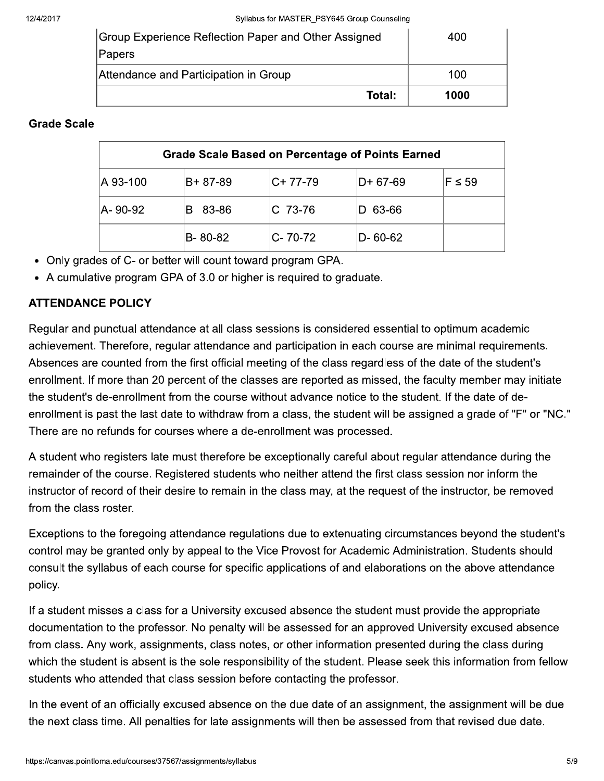| Papers<br>Attendance and Participation in Group | 100  |
|-------------------------------------------------|------|
| Total:                                          | 1000 |

#### **Grade Scale**

| <b>Grade Scale Based on Percentage of Points Earned</b> |            |           |               |             |
|---------------------------------------------------------|------------|-----------|---------------|-------------|
| IA 93-100                                               | B+ 87-89   | IC+ 77-79 | D+ 67-69      | $F \leq 59$ |
| A- 90-92                                                | 83-86<br>R | IC 73-76  | D 63-66       |             |
|                                                         | B-80-82    | C-70-72   | $D - 60 - 62$ |             |

- Only grades of C- or better will count toward program GPA.
- A cumulative program GPA of 3.0 or higher is required to graduate.

# **ATTENDANCE POLICY**

Regular and punctual attendance at all class sessions is considered essential to optimum academic achievement. Therefore, regular attendance and participation in each course are minimal requirements. Absences are counted from the first official meeting of the class regardless of the date of the student's enrollment. If more than 20 percent of the classes are reported as missed, the faculty member may initiate the student's de-enrollment from the course without advance notice to the student. If the date of deenrollment is past the last date to withdraw from a class, the student will be assigned a grade of "F" or "NC." There are no refunds for courses where a de-enrollment was processed.

A student who registers late must therefore be exceptionally careful about regular attendance during the remainder of the course. Registered students who neither attend the first class session nor inform the instructor of record of their desire to remain in the class may, at the request of the instructor, be removed from the class roster.

Exceptions to the foregoing attendance regulations due to extenuating circumstances beyond the student's control may be granted only by appeal to the Vice Provost for Academic Administration. Students should consult the syllabus of each course for specific applications of and elaborations on the above attendance policy.

If a student misses a class for a University excused absence the student must provide the appropriate documentation to the professor. No penalty will be assessed for an approved University excused absence from class. Any work, assignments, class notes, or other information presented during the class during which the student is absent is the sole responsibility of the student. Please seek this information from fellow students who attended that class session before contacting the professor.

In the event of an officially excused absence on the due date of an assignment, the assignment will be due the next class time. All penalties for late assignments will then be assessed from that revised due date.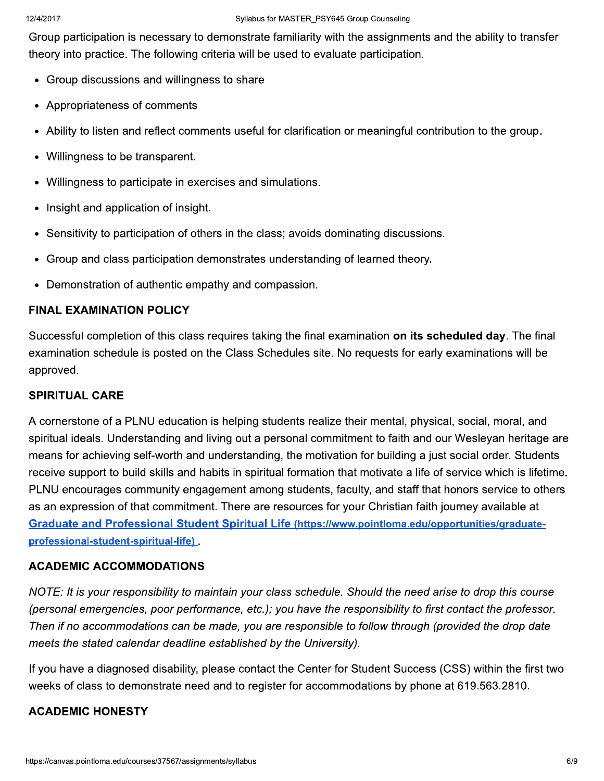Group participation is necessary to demonstrate familiarity with the assignments and the ability to transfer theory into practice. The following criteria will be used to evaluate participation.

- Group discussions and willingness to share
- Appropriateness of comments
- Ability to listen and reflect comments useful for clarification or meaningful contribution to the group.
- Willingness to be transparent.
- Willingness to participate in exercises and simulations.
- Insight and application of insight.
- Sensitivity to participation of others in the class; avoids dominating discussions.
- Group and class participation demonstrates understanding of learned theory.
- Demonstration of authentic empathy and compassion.

#### **FINAL EXAMINATION POLICY**

Successful completion of this class requires taking the final examination on its scheduled day. The final examination schedule is posted on the Class Schedules site. No requests for early examinations will be approved.

#### **SPIRITUAL CARE**

A cornerstone of a PLNU education is helping students realize their mental, physical, social, moral, and spiritual ideals. Understanding and living out a personal commitment to faith and our Wesleyan heritage are means for achieving self-worth and understanding, the motivation for building a just social order. Students receive support to build skills and habits in spiritual formation that motivate a life of service which is lifetime. PLNU encourages community engagement among students, faculty, and staff that honors service to others as an expression of that commitment. There are resources for your Christian faith journey available at Graduate and Professional Student Spiritual Life (https://www.pointloma.edu/opportunities/graduateprofessional-student-spiritual-life).

#### **ACADEMIC ACCOMMODATIONS**

NOTE: It is your responsibility to maintain your class schedule. Should the need arise to drop this course (personal emergencies, poor performance, etc.); you have the responsibility to first contact the professor. Then if no accommodations can be made, you are responsible to follow through (provided the drop date meets the stated calendar deadline established by the University).

If you have a diagnosed disability, please contact the Center for Student Success (CSS) within the first two weeks of class to demonstrate need and to register for accommodations by phone at 619.563.2810.

# **ACADEMIC HONESTY**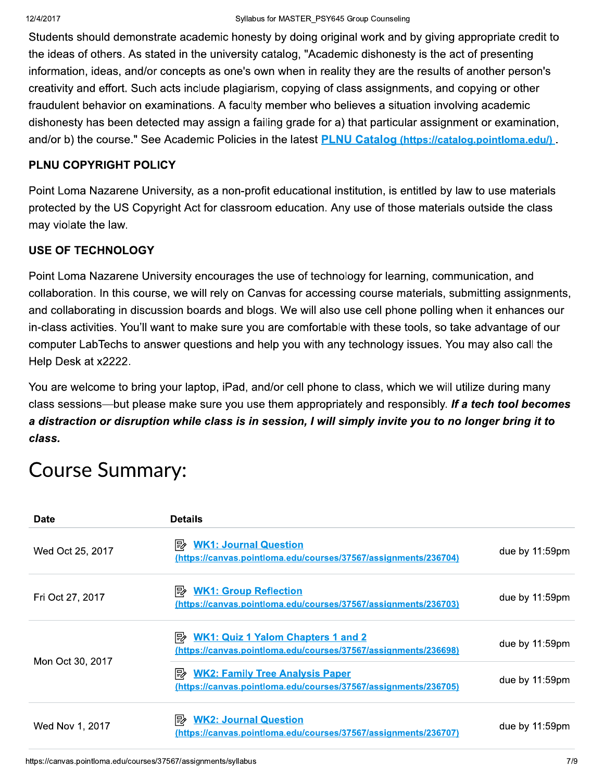Students should demonstrate academic honesty by doing original work and by giving appropriate credit to the ideas of others. As stated in the university catalog, "Academic dishonesty is the act of presenting information, ideas, and/or concepts as one's own when in reality they are the results of another person's creativity and effort. Such acts include plagiarism, copying of class assignments, and copying or other fraudulent behavior on examinations. A faculty member who believes a situation involving academic dishonesty has been detected may assign a failing grade for a) that particular assignment or examination. and/or b) the course." See Academic Policies in the latest **PLNU Catalog (https://catalog.pointloma.edu/)**.

# **PLNU COPYRIGHT POLICY**

Point Loma Nazarene University, as a non-profit educational institution, is entitled by law to use materials protected by the US Copyright Act for classroom education. Any use of those materials outside the class may violate the law.

#### **USE OF TECHNOLOGY**

Point Loma Nazarene University encourages the use of technology for learning, communication, and collaboration. In this course, we will rely on Canvas for accessing course materials, submitting assignments, and collaborating in discussion boards and blogs. We will also use cell phone polling when it enhances our in-class activities. You'll want to make sure you are comfortable with these tools, so take advantage of our computer LabTechs to answer questions and help you with any technology issues. You may also call the Help Desk at x2222.

You are welcome to bring your laptop, iPad, and/or cell phone to class, which we will utilize during many class sessions—but please make sure you use them appropriately and responsibly. If a tech tool becomes a distraction or disruption while class is in session, I will simply invite you to no longer bring it to class.

# **Course Summary:**

| Date             | <b>Details</b>                                                                                                     |                   |
|------------------|--------------------------------------------------------------------------------------------------------------------|-------------------|
| Wed Oct 25, 2017 | <b>WK1: Journal Question</b><br> 5≽<br>(https://canvas.pointloma.edu/courses/37567/assignments/236704)             | due by 11:59pm    |
| Fri Oct 27, 2017 | <b>WK1: Group Reflection</b><br>l₩<br>(https://canvas.pointloma.edu/courses/37567/assignments/236703)              | due by 11:59pm    |
| Mon Oct 30, 2017 | ∌∕<br><b>WK1: Quiz 1 Yalom Chapters 1 and 2</b><br>(https://canvas.pointloma.edu/courses/37567/assignments/236698) | due by 11:59pm    |
|                  | 國<br><b>WK2: Family Tree Analysis Paper</b><br>(https://canvas.pointloma.edu/courses/37567/assignments/236705)     | due by 11:59pm    |
| Wed Nov 1, 2017  | <b>WK2: Journal Question</b><br> ≅⁄∘<br>(https://canvas.pointloma.edu/courses/37567/assignments/236707)            | due by $11:59$ pm |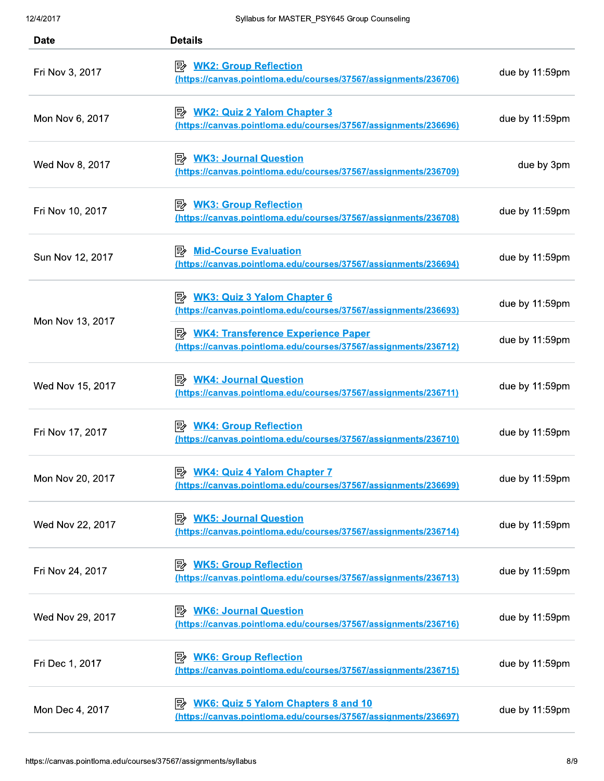| 12/4/2017<br><b>Date</b> | Syllabus for MASTER_PSY645 Group Counseling<br><b>Details</b>                                                        |                |
|--------------------------|----------------------------------------------------------------------------------------------------------------------|----------------|
| Fri Nov 3, 2017          | <b>B</b> WK2: Group Reflection<br>(https://canvas.pointloma.edu/courses/37567/assignments/236706)                    | due by 11:59pm |
| Mon Nov 6, 2017          | <b>WK2: Quiz 2 Yalom Chapter 3</b><br> ≅⁄⊵<br>(https://canvas.pointloma.edu/courses/37567/assignments/236696)        | due by 11:59pm |
| Wed Nov 8, 2017          | <b>WK3: Journal Question</b><br> 5≽<br>(https://canvas.pointloma.edu/courses/37567/assignments/236709)               | due by 3pm     |
| Fri Nov 10, 2017         | <b>B</b> WK3: Group Reflection<br>(https://canvas.pointloma.edu/courses/37567/assignments/236708)                    | due by 11:59pm |
| Sun Nov 12, 2017         | <b>Mid-Course Evaluation</b><br>國<br>(https://canvas.pointloma.edu/courses/37567/assignments/236694)                 | due by 11:59pm |
|                          | <b>B</b> WK3: Quiz 3 Yalom Chapter 6<br>(https://canvas.pointloma.edu/courses/37567/assignments/236693)              | due by 11:59pm |
| Mon Nov 13, 2017         | <b>E</b> WK4: Transference Experience Paper<br>(https://canvas.pointloma.edu/courses/37567/assignments/236712)       | due by 11:59pm |
| Wed Nov 15, 2017         | <b>B</b> WK4: Journal Question<br>(https://canvas.pointloma.edu/courses/37567/assignments/236711)                    | due by 11:59pm |
| Fri Nov 17, 2017         | <b>WK4: Group Reflection</b><br>眕<br>(https://canvas.pointloma.edu/courses/37567/assignments/236710)                 | due by 11:59pm |
| Mon Nov 20, 2017         | <b>WK4: Quiz 4 Yalom Chapter 7</b><br>診<br>(https://canvas.pointloma.edu/courses/37567/assignments/236699)           | due by 11:59pm |
| Wed Nov 22, 2017         | <b>WK5: Journal Question</b><br>⊯∕<br>(https://canvas.pointloma.edu/courses/37567/assignments/236714)                | due by 11:59pm |
| Fri Nov 24, 2017         | <b>WK5: Group Reflection</b><br> ⊧≽<br>(https://canvas.pointloma.edu/courses/37567/assignments/236713)               | due by 11:59pm |
| Wed Nov 29, 2017         | <b>WK6: Journal Question</b><br>⊯∕<br>(https://canvas.pointloma.edu/courses/37567/assignments/236716)                | due by 11:59pm |
| Fri Dec 1, 2017          | <b>WK6: Group Reflection</b><br>⊯<br>(https://canvas.pointloma.edu/courses/37567/assignments/236715)                 | due by 11:59pm |
| Mon Dec 4, 2017          | <b>WK6: Quiz 5 Yalom Chapters 8 and 10</b><br> 5≽<br>(https://canvas.pointloma.edu/courses/37567/assignments/236697) | due by 11:59pm |